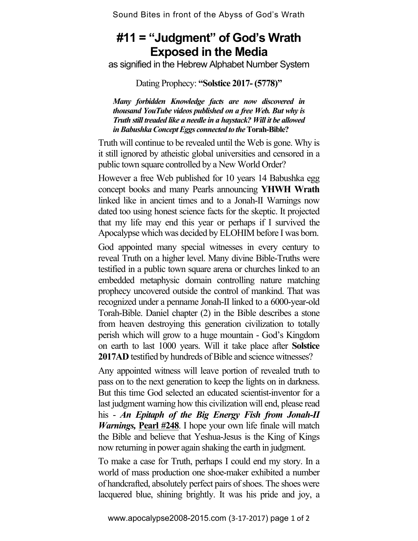Sound Bites in front of the Abyss of God's Wrath

## **#11 = "Judgment" of God's Wrath Exposed in the Media**

as signified in the Hebrew Alphabet Number System

Dating Prophecy: **"Solstice 2017- (5778)"** 

*Many forbidden Knowledge facts are now discovered in thousand YouTube videos published on a free Web. But why is Truth still treaded like a needle in a haystack? Will it be allowed in Babushka Concept Eggs connected to the* **Torah-Bible?**

Truth will continue to be revealed until the Web is gone. Why is it still ignored by atheistic global universities and censored in a public town square controlled by a New World Order?

However a free Web published for 10 years 14 Babushka egg concept books and many Pearls announcing **YHWH Wrath** linked like in ancient times and to a Jonah-II Warnings now dated too using honest science facts for the skeptic. It projected that my life may end this year or perhaps if I survived the Apocalypse which was decided by ELOHIM before I was born.

God appointed many special witnesses in every century to reveal Truth on a higher level. Many divine Bible-Truths were testified in a public town square arena or churches linked to an embedded metaphysic domain controlling nature matching prophecy uncovered outside the control of mankind. That was recognized under a penname Jonah-II linked to a 6000-year-old Torah-Bible. Daniel chapter (2) in the Bible describes a stone from heaven destroying this generation civilization to totally perish which will grow to a huge mountain - God's Kingdom on earth to last 1000 years. Will it take place after **Solstice 2017AD** testified by hundreds of Bible and science witnesses?

Any appointed witness will leave portion of revealed truth to pass on to the next generation to keep the lights on in darkness. But this time God selected an educated scientist-inventor for a last judgment warning how this civilization will end, please read his - *An Epitaph of the Big Energy Fish from Jonah-II Warnings,* **Pearl #248**. I hope your own life finale will match the Bible and believe that Yeshua-Jesus is the King of Kings now returning in power again shaking the earth in judgment.

To make a case for Truth, perhaps I could end my story. In a world of mass production one shoe-maker exhibited a number of handcrafted, absolutely perfect pairs of shoes. The shoes were lacquered blue, shining brightly. It was his pride and joy, a